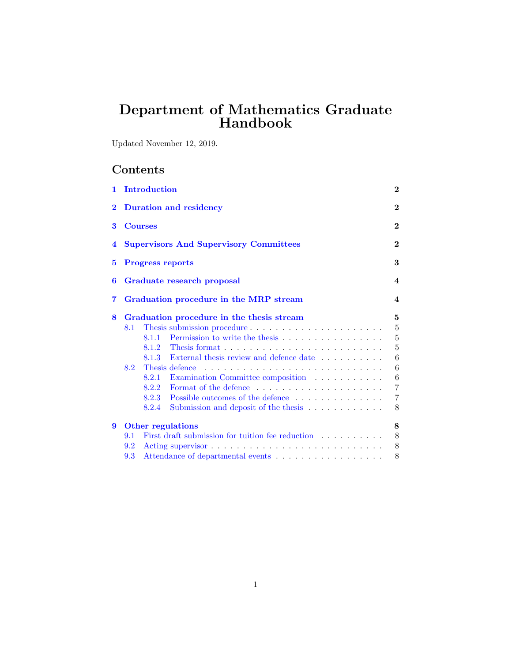# Department of Mathematics Graduate Handbook

Updated November 12, 2019.

# Contents

| $\mathbf{1}$ |     | Introduction                                                               | $\bf{2}$                |
|--------------|-----|----------------------------------------------------------------------------|-------------------------|
| $\bf{2}$     |     | <b>Duration and residency</b>                                              | $\bf{2}$                |
| 3            |     | <b>Courses</b>                                                             | $\bf{2}$                |
| 4            |     | <b>Supervisors And Supervisory Committees</b>                              | $\bf{2}$                |
| 5            |     | <b>Progress reports</b>                                                    | 3                       |
| 6            |     | Graduate research proposal                                                 | $\boldsymbol{4}$        |
| 7            |     | Graduation procedure in the MRP stream                                     | $\overline{\mathbf{4}}$ |
| 8            |     | Graduation procedure in the thesis stream                                  | 5                       |
|              | 8.1 | Thesis submission procedure                                                | $\bf 5$                 |
|              |     | 8.1.1                                                                      | $\bf 5$                 |
|              |     | 8.1.2                                                                      | $\overline{5}$          |
|              |     | 8.1.3<br>External thesis review and defence date                           | 6                       |
|              | 8.2 | Thesis defence                                                             | 6                       |
|              |     | Examination Committee composition<br>8.2.1                                 | 6                       |
|              |     | Format of the defence $\dots \dots \dots \dots \dots \dots \dots$<br>8.2.2 | $\overline{7}$          |
|              |     | 8.2.3<br>Possible outcomes of the defence                                  | $\overline{7}$          |
|              |     | 8.2.4<br>Submission and deposit of the thesis                              | 8                       |
| 9            |     | Other regulations                                                          | 8                       |
|              | 9.1 | First draft submission for tuition fee reduction                           | 8                       |
|              | 9.2 |                                                                            | 8                       |
|              | 9.3 | Attendance of departmental events                                          | 8                       |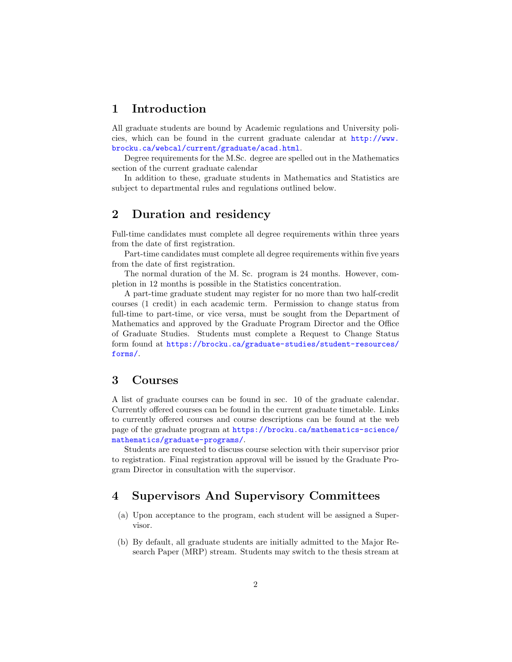# <span id="page-1-0"></span>1 Introduction

All graduate students are bound by Academic regulations and University policies, which can be found in the current graduate calendar at [http://www.](http://www.brocku.ca/webcal/current/graduate/acad.html) [brocku.ca/webcal/current/graduate/acad.html](http://www.brocku.ca/webcal/current/graduate/acad.html).

Degree requirements for the M.Sc. degree are spelled out in the Mathematics section of the current graduate calendar

In addition to these, graduate students in Mathematics and Statistics are subject to departmental rules and regulations outlined below.

## <span id="page-1-1"></span>2 Duration and residency

Full-time candidates must complete all degree requirements within three years from the date of first registration.

Part-time candidates must complete all degree requirements within five years from the date of first registration.

The normal duration of the M. Sc. program is 24 months. However, completion in 12 months is possible in the Statistics concentration.

A part-time graduate student may register for no more than two half-credit courses (1 credit) in each academic term. Permission to change status from full-time to part-time, or vice versa, must be sought from the Department of Mathematics and approved by the Graduate Program Director and the Office of Graduate Studies. Students must complete a Request to Change Status form found at [https://brocku.ca/graduate-studies/student-resources/](https://brocku.ca/graduate-studies/student-resources/forms/) [forms/](https://brocku.ca/graduate-studies/student-resources/forms/).

### <span id="page-1-2"></span>3 Courses

A list of graduate courses can be found in sec. 10 of the graduate calendar. Currently offered courses can be found in the current graduate timetable. Links to currently offered courses and course descriptions can be found at the web page of the graduate program at [https://brocku.ca/mathematics-science/](https://brocku.ca/mathematics-science/mathematics/graduate-programs/) [mathematics/graduate-programs/](https://brocku.ca/mathematics-science/mathematics/graduate-programs/).

Students are requested to discuss course selection with their supervisor prior to registration. Final registration approval will be issued by the Graduate Program Director in consultation with the supervisor.

### <span id="page-1-3"></span>4 Supervisors And Supervisory Committees

- (a) Upon acceptance to the program, each student will be assigned a Supervisor.
- (b) By default, all graduate students are initially admitted to the Major Research Paper (MRP) stream. Students may switch to the thesis stream at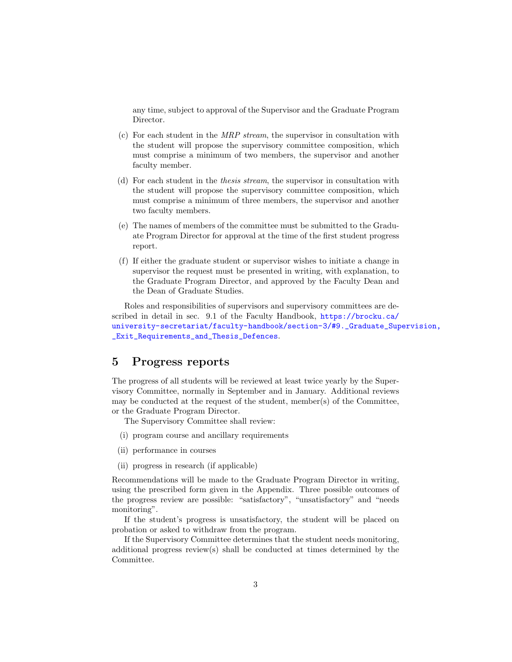any time, subject to approval of the Supervisor and the Graduate Program Director.

- (c) For each student in the  $MRP$  stream, the supervisor in consultation with the student will propose the supervisory committee composition, which must comprise a minimum of two members, the supervisor and another faculty member.
- (d) For each student in the thesis stream, the supervisor in consultation with the student will propose the supervisory committee composition, which must comprise a minimum of three members, the supervisor and another two faculty members.
- (e) The names of members of the committee must be submitted to the Graduate Program Director for approval at the time of the first student progress report.
- (f) If either the graduate student or supervisor wishes to initiate a change in supervisor the request must be presented in writing, with explanation, to the Graduate Program Director, and approved by the Faculty Dean and the Dean of Graduate Studies.

Roles and responsibilities of supervisors and supervisory committees are described in detail in sec. 9.1 of the Faculty Handbook, [https://brocku.ca/](https://brocku.ca/university-secretariat/faculty-handbook/section-3/#9._Graduate_Supervision,_Exit_Requirements_and_Thesis_Defences) [university-secretariat/faculty-handbook/section-3/#9.\\_Graduate\\_Sup](https://brocku.ca/university-secretariat/faculty-handbook/section-3/#9._Graduate_Supervision,_Exit_Requirements_and_Thesis_Defences)ervision, [\\_Exit\\_Requirements\\_and\\_Thesis\\_Defences](https://brocku.ca/university-secretariat/faculty-handbook/section-3/#9._Graduate_Supervision,_Exit_Requirements_and_Thesis_Defences).

## <span id="page-2-0"></span>5 Progress reports

The progress of all students will be reviewed at least twice yearly by the Supervisory Committee, normally in September and in January. Additional reviews may be conducted at the request of the student, member(s) of the Committee, or the Graduate Program Director.

The Supervisory Committee shall review:

- (i) program course and ancillary requirements
- (ii) performance in courses
- (ii) progress in research (if applicable)

Recommendations will be made to the Graduate Program Director in writing, using the prescribed form given in the Appendix. Three possible outcomes of the progress review are possible: "satisfactory", "unsatisfactory" and "needs monitoring".

If the student's progress is unsatisfactory, the student will be placed on probation or asked to withdraw from the program.

If the Supervisory Committee determines that the student needs monitoring, additional progress review(s) shall be conducted at times determined by the Committee.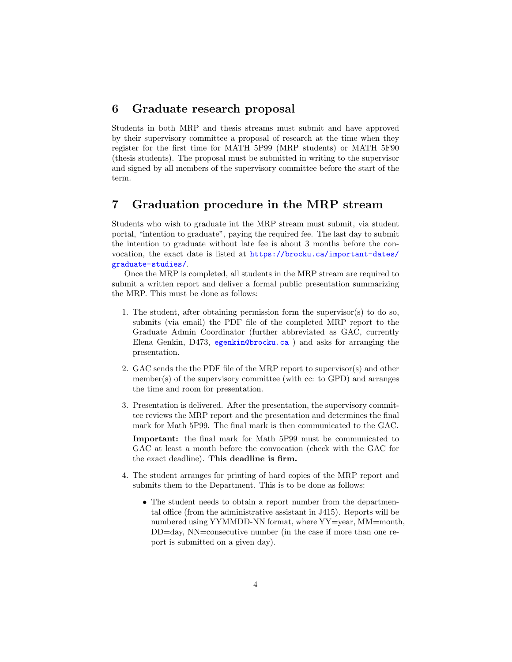### <span id="page-3-0"></span>6 Graduate research proposal

Students in both MRP and thesis streams must submit and have approved by their supervisory committee a proposal of research at the time when they register for the first time for MATH 5P99 (MRP students) or MATH 5F90 (thesis students). The proposal must be submitted in writing to the supervisor and signed by all members of the supervisory committee before the start of the term.

### <span id="page-3-1"></span>7 Graduation procedure in the MRP stream

Students who wish to graduate int the MRP stream must submit, via student portal, "intention to graduate", paying the required fee. The last day to submit the intention to graduate without late fee is about 3 months before the convocation, the exact date is listed at [https://brocku.ca/important-dates/](https://brocku.ca/important-dates/graduate-studies/) [graduate-studies/](https://brocku.ca/important-dates/graduate-studies/).

Once the MRP is completed, all students in the MRP stream are required to submit a written report and deliver a formal public presentation summarizing the MRP. This must be done as follows:

- 1. The student, after obtaining permission form the supervisor(s) to do so, submits (via email) the PDF file of the completed MRP report to the Graduate Admin Coordinator (further abbreviated as GAC, currently Elena Genkin, D473, <egenkin@brocku.ca> ) and asks for arranging the presentation.
- 2. GAC sends the the PDF file of the MRP report to supervisor(s) and other member(s) of the supervisory committee (with cc: to  $\text{GPD}$ ) and arranges the time and room for presentation.
- 3. Presentation is delivered. After the presentation, the supervisory committee reviews the MRP report and the presentation and determines the final mark for Math 5P99. The final mark is then communicated to the GAC.

Important: the final mark for Math 5P99 must be communicated to GAC at least a month before the convocation (check with the GAC for the exact deadline). This deadline is firm.

- 4. The student arranges for printing of hard copies of the MRP report and submits them to the Department. This is to be done as follows:
	- The student needs to obtain a report number from the departmental office (from the administrative assistant in J415). Reports will be numbered using YYMMDD-NN format, where YY=year, MM=month, DD=day, NN=consecutive number (in the case if more than one report is submitted on a given day).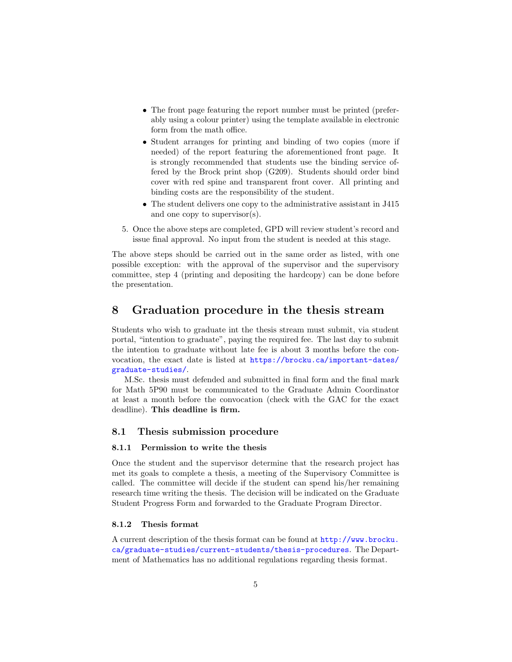- The front page featuring the report number must be printed (preferably using a colour printer) using the template available in electronic form from the math office.
- Student arranges for printing and binding of two copies (more if needed) of the report featuring the aforementioned front page. It is strongly recommended that students use the binding service offered by the Brock print shop (G209). Students should order bind cover with red spine and transparent front cover. All printing and binding costs are the responsibility of the student.
- The student delivers one copy to the administrative assistant in J415 and one copy to supervisor(s).
- 5. Once the above steps are completed, GPD will review student's record and issue final approval. No input from the student is needed at this stage.

The above steps should be carried out in the same order as listed, with one possible exception: with the approval of the supervisor and the supervisory committee, step 4 (printing and depositing the hardcopy) can be done before the presentation.

### <span id="page-4-0"></span>8 Graduation procedure in the thesis stream

Students who wish to graduate int the thesis stream must submit, via student portal, "intention to graduate", paying the required fee. The last day to submit the intention to graduate without late fee is about 3 months before the convocation, the exact date is listed at [https://brocku.ca/important-dates/](https://brocku.ca/important-dates/graduate-studies/) [graduate-studies/](https://brocku.ca/important-dates/graduate-studies/).

M.Sc. thesis must defended and submitted in final form and the final mark for Math 5P90 must be communicated to the Graduate Admin Coordinator at least a month before the convocation (check with the GAC for the exact deadline). This deadline is firm.

### <span id="page-4-1"></span>8.1 Thesis submission procedure

#### <span id="page-4-2"></span>8.1.1 Permission to write the thesis

Once the student and the supervisor determine that the research project has met its goals to complete a thesis, a meeting of the Supervisory Committee is called. The committee will decide if the student can spend his/her remaining research time writing the thesis. The decision will be indicated on the Graduate Student Progress Form and forwarded to the Graduate Program Director.

#### <span id="page-4-3"></span>8.1.2 Thesis format

A current description of the thesis format can be found at [http://www.brocku.](http://www.brocku.ca/graduate-studies/current-students/thesis-procedures) [ca/graduate-studies/current-students/thesis-procedures](http://www.brocku.ca/graduate-studies/current-students/thesis-procedures). The Department of Mathematics has no additional regulations regarding thesis format.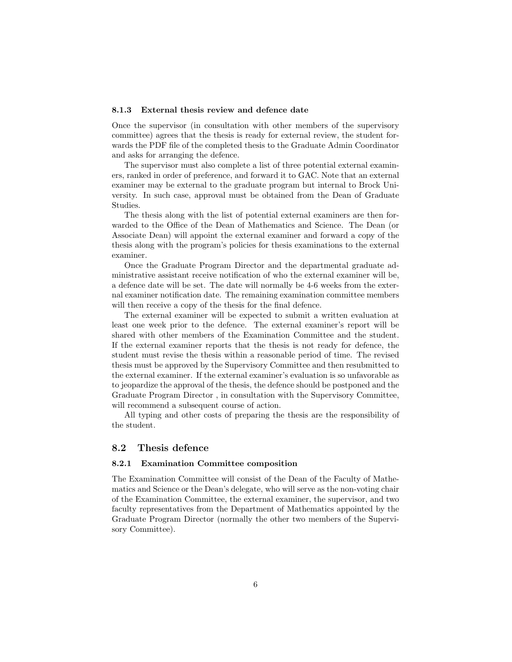#### <span id="page-5-0"></span>8.1.3 External thesis review and defence date

Once the supervisor (in consultation with other members of the supervisory committee) agrees that the thesis is ready for external review, the student forwards the PDF file of the completed thesis to the Graduate Admin Coordinator and asks for arranging the defence.

The supervisor must also complete a list of three potential external examiners, ranked in order of preference, and forward it to GAC. Note that an external examiner may be external to the graduate program but internal to Brock University. In such case, approval must be obtained from the Dean of Graduate Studies.

The thesis along with the list of potential external examiners are then forwarded to the Office of the Dean of Mathematics and Science. The Dean (or Associate Dean) will appoint the external examiner and forward a copy of the thesis along with the program's policies for thesis examinations to the external examiner.

Once the Graduate Program Director and the departmental graduate administrative assistant receive notification of who the external examiner will be, a defence date will be set. The date will normally be 4-6 weeks from the external examiner notification date. The remaining examination committee members will then receive a copy of the thesis for the final defence.

The external examiner will be expected to submit a written evaluation at least one week prior to the defence. The external examiner's report will be shared with other members of the Examination Committee and the student. If the external examiner reports that the thesis is not ready for defence, the student must revise the thesis within a reasonable period of time. The revised thesis must be approved by the Supervisory Committee and then resubmitted to the external examiner. If the external examiner's evaluation is so unfavorable as to jeopardize the approval of the thesis, the defence should be postponed and the Graduate Program Director , in consultation with the Supervisory Committee, will recommend a subsequent course of action.

All typing and other costs of preparing the thesis are the responsibility of the student.

#### <span id="page-5-1"></span>8.2 Thesis defence

#### <span id="page-5-2"></span>8.2.1 Examination Committee composition

The Examination Committee will consist of the Dean of the Faculty of Mathematics and Science or the Dean's delegate, who will serve as the non-voting chair of the Examination Committee, the external examiner, the supervisor, and two faculty representatives from the Department of Mathematics appointed by the Graduate Program Director (normally the other two members of the Supervisory Committee).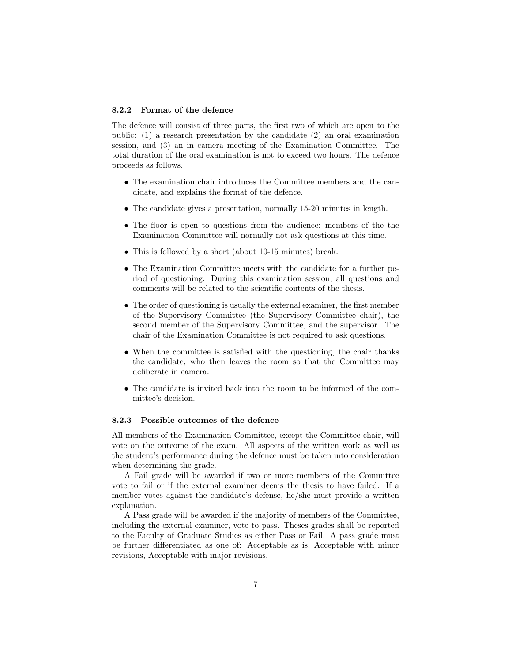#### <span id="page-6-0"></span>8.2.2 Format of the defence

The defence will consist of three parts, the first two of which are open to the public: (1) a research presentation by the candidate (2) an oral examination session, and (3) an in camera meeting of the Examination Committee. The total duration of the oral examination is not to exceed two hours. The defence proceeds as follows.

- The examination chair introduces the Committee members and the candidate, and explains the format of the defence.
- The candidate gives a presentation, normally 15-20 minutes in length.
- The floor is open to questions from the audience; members of the the Examination Committee will normally not ask questions at this time.
- This is followed by a short (about 10-15 minutes) break.
- The Examination Committee meets with the candidate for a further period of questioning. During this examination session, all questions and comments will be related to the scientific contents of the thesis.
- The order of questioning is usually the external examiner, the first member of the Supervisory Committee (the Supervisory Committee chair), the second member of the Supervisory Committee, and the supervisor. The chair of the Examination Committee is not required to ask questions.
- When the committee is satisfied with the questioning, the chair thanks the candidate, who then leaves the room so that the Committee may deliberate in camera.
- The candidate is invited back into the room to be informed of the committee's decision.

#### <span id="page-6-1"></span>8.2.3 Possible outcomes of the defence

All members of the Examination Committee, except the Committee chair, will vote on the outcome of the exam. All aspects of the written work as well as the student's performance during the defence must be taken into consideration when determining the grade.

A Fail grade will be awarded if two or more members of the Committee vote to fail or if the external examiner deems the thesis to have failed. If a member votes against the candidate's defense, he/she must provide a written explanation.

A Pass grade will be awarded if the majority of members of the Committee, including the external examiner, vote to pass. Theses grades shall be reported to the Faculty of Graduate Studies as either Pass or Fail. A pass grade must be further differentiated as one of: Acceptable as is, Acceptable with minor revisions, Acceptable with major revisions.